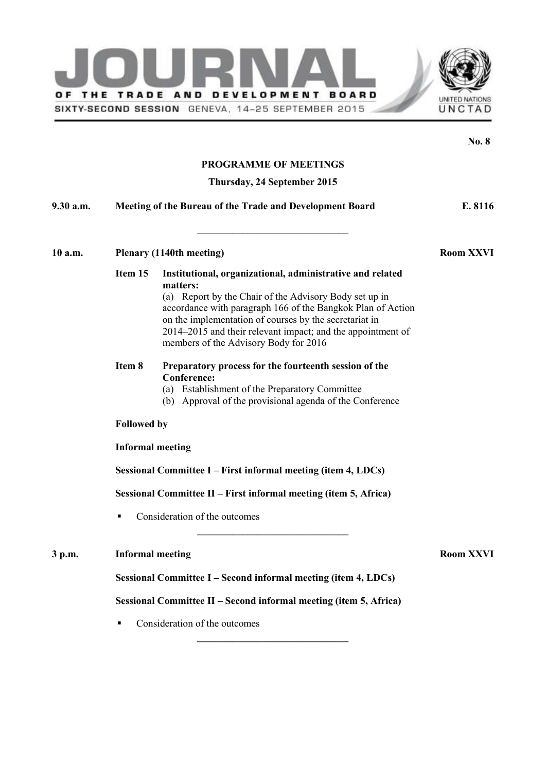



|           |                                                                  |                                                                                                                                                                                                                                                                                                                                                                                                                                                                                                                                                               | <b>No. 8</b> |  |
|-----------|------------------------------------------------------------------|---------------------------------------------------------------------------------------------------------------------------------------------------------------------------------------------------------------------------------------------------------------------------------------------------------------------------------------------------------------------------------------------------------------------------------------------------------------------------------------------------------------------------------------------------------------|--------------|--|
|           |                                                                  | <b>PROGRAMME OF MEETINGS</b>                                                                                                                                                                                                                                                                                                                                                                                                                                                                                                                                  |              |  |
|           |                                                                  | Thursday, 24 September 2015                                                                                                                                                                                                                                                                                                                                                                                                                                                                                                                                   |              |  |
| 9.30 a.m. |                                                                  | Meeting of the Bureau of the Trade and Development Board                                                                                                                                                                                                                                                                                                                                                                                                                                                                                                      | E. 8116      |  |
| 10 a.m.   | Plenary (1140th meeting)                                         | <b>Room XXVI</b>                                                                                                                                                                                                                                                                                                                                                                                                                                                                                                                                              |              |  |
|           | Item 15<br>Item 8                                                | Institutional, organizational, administrative and related<br>matters:<br>(a) Report by the Chair of the Advisory Body set up in<br>accordance with paragraph 166 of the Bangkok Plan of Action<br>on the implementation of courses by the secretariat in<br>2014–2015 and their relevant impact; and the appointment of<br>members of the Advisory Body for 2016<br>Preparatory process for the fourteenth session of the<br><b>Conference:</b><br>(a) Establishment of the Preparatory Committee<br>(b) Approval of the provisional agenda of the Conference |              |  |
|           | <b>Followed by</b>                                               |                                                                                                                                                                                                                                                                                                                                                                                                                                                                                                                                                               |              |  |
|           | <b>Informal meeting</b>                                          |                                                                                                                                                                                                                                                                                                                                                                                                                                                                                                                                                               |              |  |
|           | Sessional Committee I – First informal meeting (item 4, LDCs)    |                                                                                                                                                                                                                                                                                                                                                                                                                                                                                                                                                               |              |  |
|           | Sessional Committee II – First informal meeting (item 5, Africa) |                                                                                                                                                                                                                                                                                                                                                                                                                                                                                                                                                               |              |  |
|           |                                                                  | Consideration of the outcomes                                                                                                                                                                                                                                                                                                                                                                                                                                                                                                                                 |              |  |
| 3 p.m.    | <b>Informal meeting</b>                                          | <b>Room XXVI</b>                                                                                                                                                                                                                                                                                                                                                                                                                                                                                                                                              |              |  |
|           | Sessional Committee I – Second informal meeting (item 4, LDCs)   |                                                                                                                                                                                                                                                                                                                                                                                                                                                                                                                                                               |              |  |
|           |                                                                  | Sessional Committee II – Second informal meeting (item 5, Africa)                                                                                                                                                                                                                                                                                                                                                                                                                                                                                             |              |  |
|           |                                                                  | Consideration of the outcomes                                                                                                                                                                                                                                                                                                                                                                                                                                                                                                                                 |              |  |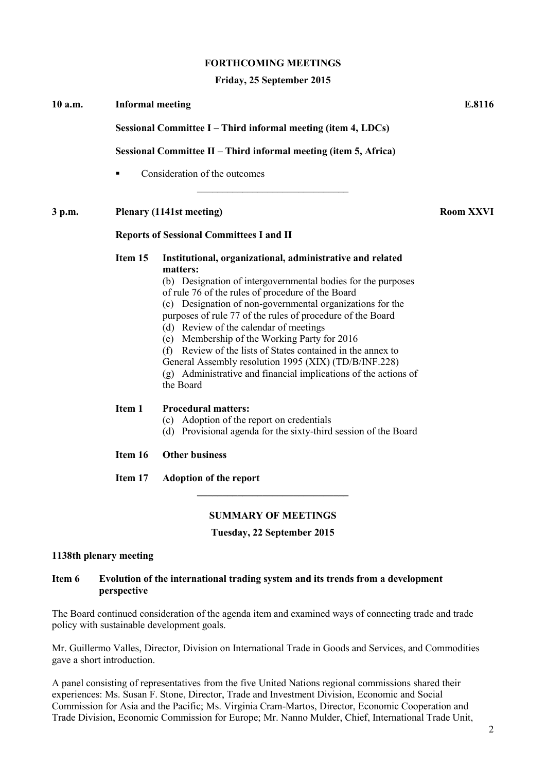#### **FORTHCOMING MEETINGS**

#### **Friday, 25 September 2015**

| 10 a.m.                                         | <b>Informal meeting</b>                                                                                                           |                                                                                                                                                                                                                                                                                                                                                                                                                                                                                                                                                                                                                         | E.8116 |                  |  |
|-------------------------------------------------|-----------------------------------------------------------------------------------------------------------------------------------|-------------------------------------------------------------------------------------------------------------------------------------------------------------------------------------------------------------------------------------------------------------------------------------------------------------------------------------------------------------------------------------------------------------------------------------------------------------------------------------------------------------------------------------------------------------------------------------------------------------------------|--------|------------------|--|
|                                                 | Sessional Committee I – Third informal meeting (item 4, LDCs)<br>Sessional Committee II – Third informal meeting (item 5, Africa) |                                                                                                                                                                                                                                                                                                                                                                                                                                                                                                                                                                                                                         |        |                  |  |
|                                                 |                                                                                                                                   |                                                                                                                                                                                                                                                                                                                                                                                                                                                                                                                                                                                                                         |        |                  |  |
|                                                 | 3 p.m.                                                                                                                            | Plenary (1141st meeting)                                                                                                                                                                                                                                                                                                                                                                                                                                                                                                                                                                                                |        | <b>Room XXVI</b> |  |
| <b>Reports of Sessional Committees I and II</b> |                                                                                                                                   |                                                                                                                                                                                                                                                                                                                                                                                                                                                                                                                                                                                                                         |        |                  |  |
|                                                 | Item 15                                                                                                                           | Institutional, organizational, administrative and related<br>matters:<br>(b) Designation of intergovernmental bodies for the purposes<br>of rule 76 of the rules of procedure of the Board<br>(c) Designation of non-governmental organizations for the<br>purposes of rule 77 of the rules of procedure of the Board<br>(d) Review of the calendar of meetings<br>(e) Membership of the Working Party for 2016<br>(f) Review of the lists of States contained in the annex to<br>General Assembly resolution 1995 (XIX) (TD/B/INF.228)<br>(g) Administrative and financial implications of the actions of<br>the Board |        |                  |  |
|                                                 | Item 1                                                                                                                            | <b>Procedural matters:</b><br>(c) Adoption of the report on credentials<br>(d) Provisional agenda for the sixty-third session of the Board                                                                                                                                                                                                                                                                                                                                                                                                                                                                              |        |                  |  |
|                                                 | Item 16                                                                                                                           | <b>Other business</b>                                                                                                                                                                                                                                                                                                                                                                                                                                                                                                                                                                                                   |        |                  |  |
|                                                 | Item 17                                                                                                                           | <b>Adoption of the report</b>                                                                                                                                                                                                                                                                                                                                                                                                                                                                                                                                                                                           |        |                  |  |
|                                                 |                                                                                                                                   |                                                                                                                                                                                                                                                                                                                                                                                                                                                                                                                                                                                                                         |        |                  |  |

# **SUMMARY OF MEETINGS**

## **Tuesday, 22 September 2015**

# **1138th plenary meeting**

#### **Item 6 Evolution of the international trading system and its trends from a development perspective**

The Board continued consideration of the agenda item and examined ways of connecting trade and trade policy with sustainable development goals.

Mr. Guillermo Valles, Director, Division on International Trade in Goods and Services, and Commodities gave a short introduction.

A panel consisting of representatives from the five United Nations regional commissions shared their experiences: Ms. Susan F. Stone, Director, Trade and Investment Division, Economic and Social Commission for Asia and the Pacific; Ms. Virginia Cram-Martos, Director, Economic Cooperation and Trade Division, Economic Commission for Europe; Mr. Nanno Mulder, Chief, International Trade Unit,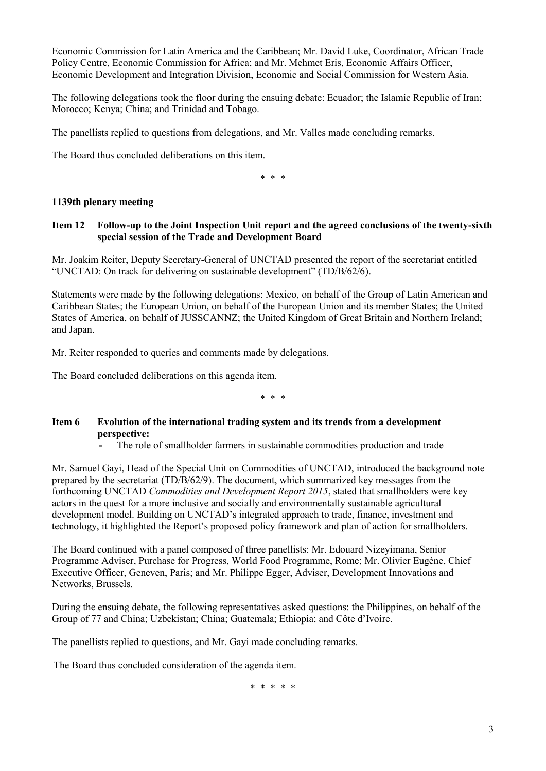Economic Commission for Latin America and the Caribbean; Mr. David Luke, Coordinator, African Trade Policy Centre, Economic Commission for Africa; and Mr. Mehmet Eris, Economic Affairs Officer, Economic Development and Integration Division, Economic and Social Commission for Western Asia.

The following delegations took the floor during the ensuing debate: Ecuador; the Islamic Republic of Iran; Morocco; Kenya; China; and Trinidad and Tobago.

The panellists replied to questions from delegations, and Mr. Valles made concluding remarks.

The Board thus concluded deliberations on this item.

\* \* \*

# **1139th plenary meeting**

## **Item 12 Follow-up to the Joint Inspection Unit report and the agreed conclusions of the twenty-sixth special session of the Trade and Development Board**

Mr. Joakim Reiter, Deputy Secretary-General of UNCTAD presented the report of the secretariat entitled "UNCTAD: On track for delivering on sustainable development" (TD/B/62/6).

Statements were made by the following delegations: Mexico, on behalf of the Group of Latin American and Caribbean States; the European Union, on behalf of the European Union and its member States; the United States of America, on behalf of JUSSCANNZ; the United Kingdom of Great Britain and Northern Ireland; and Japan.

Mr. Reiter responded to queries and comments made by delegations.

The Board concluded deliberations on this agenda item.

\* \* \*

# **Item 6 Evolution of the international trading system and its trends from a development perspective:**

**-** The role of smallholder farmers in sustainable commodities production and trade

Mr. Samuel Gayi, Head of the Special Unit on Commodities of UNCTAD, introduced the background note prepared by the secretariat (TD/B/62/9). The document, which summarized key messages from the forthcoming UNCTAD *Commodities and Development Report 2015*, stated that smallholders were key actors in the quest for a more inclusive and socially and environmentally sustainable agricultural development model. Building on UNCTAD's integrated approach to trade, finance, investment and technology, it highlighted the Report's proposed policy framework and plan of action for smallholders.

The Board continued with a panel composed of three panellists: Mr. Edouard Nizeyimana, Senior Programme Adviser, Purchase for Progress, World Food Programme, Rome; Mr. Olivier Eugène, Chief Executive Officer, Geneven, Paris; and Mr. Philippe Egger, Adviser, Development Innovations and Networks, Brussels.

During the ensuing debate, the following representatives asked questions: the Philippines, on behalf of the Group of 77 and China; Uzbekistan; China; Guatemala; Ethiopia; and Côte d'Ivoire.

The panellists replied to questions, and Mr. Gayi made concluding remarks.

The Board thus concluded consideration of the agenda item.

\* \* \* \* \*